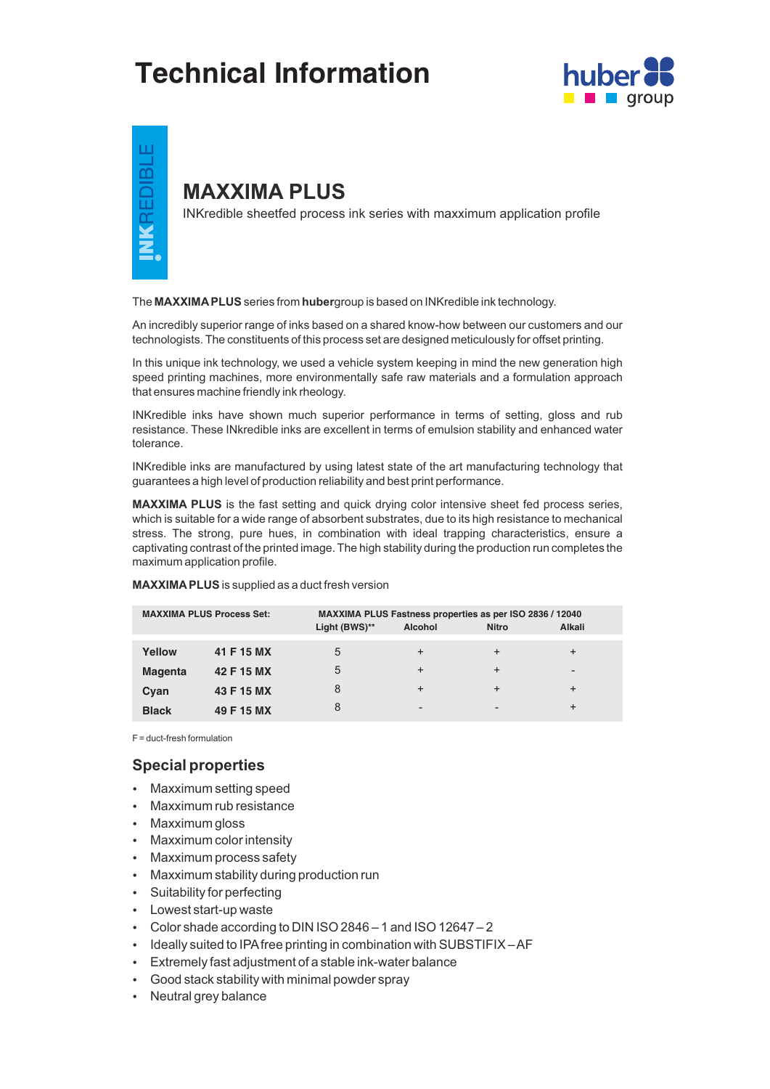# **Technical Information**





## **MAXXIMA PLUS**

INKredible sheetfed process ink series with maxximum application profile

The **MAXXIMAPLUS**series from **huber**group is based on INKredible ink technology.

An incredibly superior range of inks based on a shared know-how between our customers and our technologists. The constituents of this process set are designed meticulously for offset printing.

In this unique ink technology, we used a vehicle system keeping in mind the new generation high speed printing machines, more environmentally safe raw materials and a formulation approach that ensures machine friendly ink rheology.

INKredible inks have shown much superior performance in terms of setting, gloss and rub resistance. These INkredible inks are excellent in terms of emulsion stability and enhanced water tolerance.

INKredible inks are manufactured by using latest state of the art manufacturing technology that guarantees a high level of production reliability and best print performance.

**MAXXIMA PLUS** is the fast setting and quick drying color intensive sheet fed process series, which is suitable for a wide range of absorbent substrates, due to its high resistance to mechanical stress. The strong, pure hues, in combination with ideal trapping characteristics, ensure a captivating contrast of the printed image. The high stability during the production run completes the maximum application profile.

| <b>MAXXIMA PLUS Process Set:</b> |            | MAXXIMA PLUS Fastness properties as per ISO 2836 / 12040<br>Light (BWS)**<br>Alkali<br><b>Alcohol</b><br><b>Nitro</b> |           |                          |                          |
|----------------------------------|------------|-----------------------------------------------------------------------------------------------------------------------|-----------|--------------------------|--------------------------|
|                                  |            |                                                                                                                       |           |                          |                          |
| Yellow                           | 41 F 15 MX | 5                                                                                                                     | $\pm$     | $\div$                   | $\ddot{}$                |
| <b>Magenta</b>                   | 42 F 15 MX | 5                                                                                                                     | $\ddot{}$ | $\div$                   | $\overline{\phantom{a}}$ |
| Cyan                             | 43 F 15 MX |                                                                                                                       | $\ddot{}$ | $\div$                   | $\ddot{}$                |
| <b>Black</b>                     | 49 F 15 MX | 8                                                                                                                     | -         | $\overline{\phantom{a}}$ | $\ddot{}$                |

**MAXXIMAPLUS**is supplied as a duct fresh version

F = duct-fresh formulation

### **Special properties**

- Maxximum setting speed
- Maxximum rub resistance
- Maxximum gloss
- Maxximum color intensity
- Maxximum process safety
- Maxximum stability during production run
- Suitability for perfecting
- Lowest start-up waste
- $\cdot$  Color shade according to DIN ISO 2846 1 and ISO 12647 2
- Ideally suited to IPA free printing in combination with SUBSTIFIX-AF
- Extremely fast adjustment of a stable ink-water balance
- Good stack stability with minimal powder spray
- Neutral grey balance